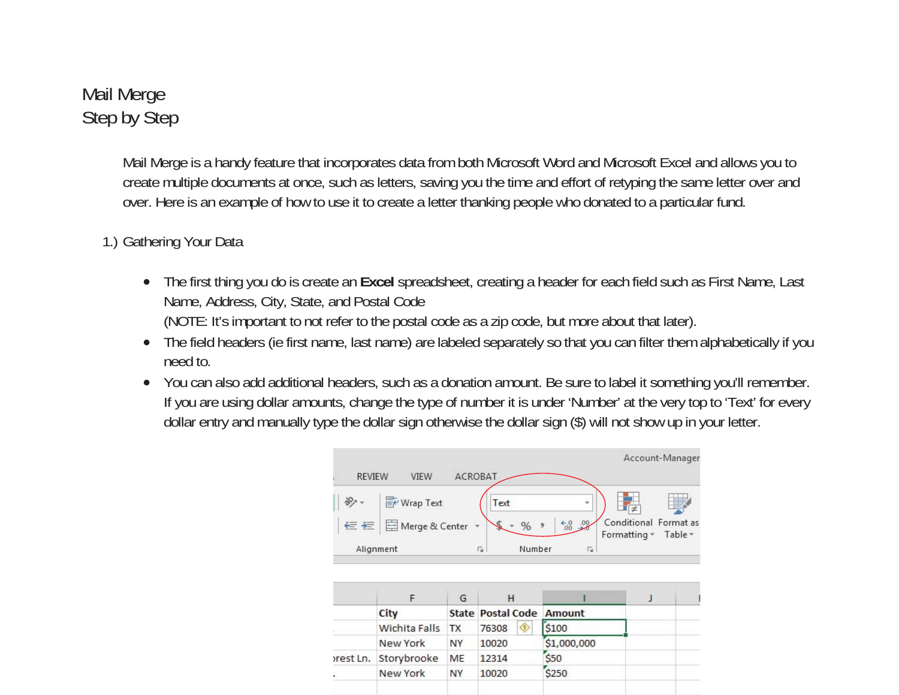## Mail Merge Step by Step

Mail Merge is a handy feature that incorporates data from both Microsoft Word and Microsoft Excel and allows you to create multiple documents at once, such as letters, saving you the time and effort of retyping the same letter over and over. Here is an example of how to use it to create a letter thanking people who donated to a particular fund.

## 1.) Gathering Your Data

- $\bullet$  The first thing you do is create an **Excel** spreadsheet, creating a header for each field such as First Name, Last Name, Address, City, State, and Postal Code (NOTE: It's important to not refer to the postal code as a zip code, but more about that later).
- 0 The field headers (ie first name, last name) are labeled separately so that you can filter them alphabetically if you need to.
- 0 You can also add additional headers, such as a donation amount. Be sure to label it something you'll remember. If you are using dollar amounts, change the type of number it is under 'Number' at the very top to 'Text' for every dollar entry and manually type the dollar sign otherwise the dollar sign (\$) will not show up in your letter.

New York

**NY** 

10020

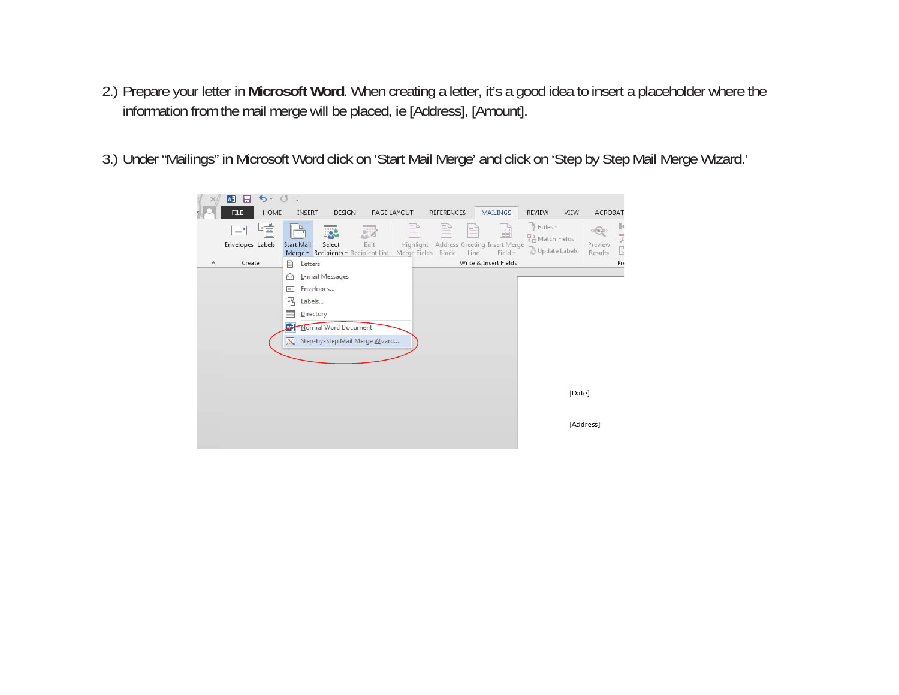- 2.) Prepare your letter in **Microsoft Word**. When creating a letter, it's a good idea to insert a placeholder where the information from the mail merge will be placed, ie [Address], [Amount].
- 3.) Under "Mailings" in Microsoft Word click on 'Start Mail Merge' and click on 'Step by Step Mail Merge Wizard.'

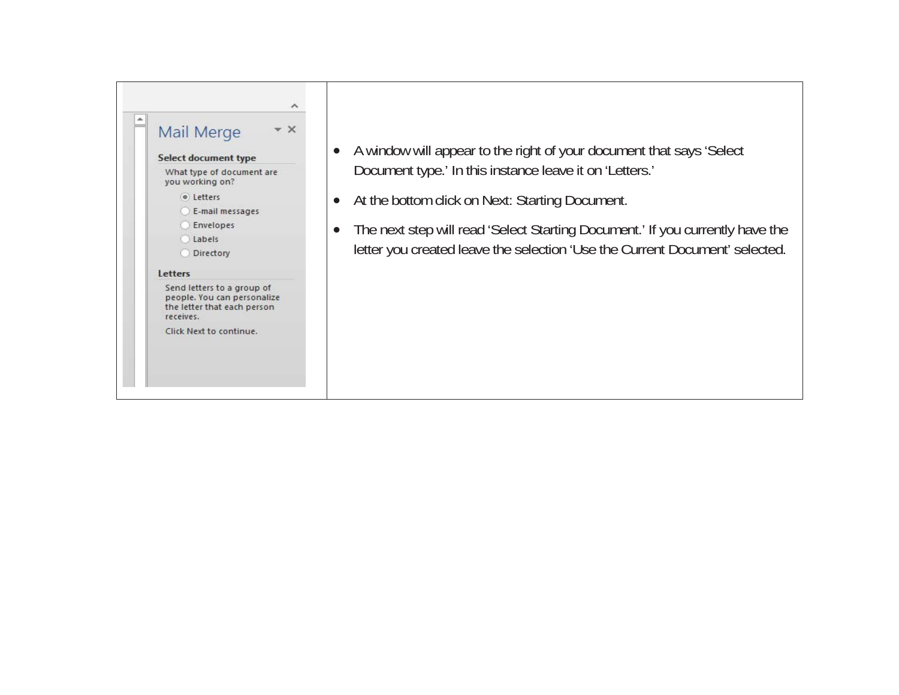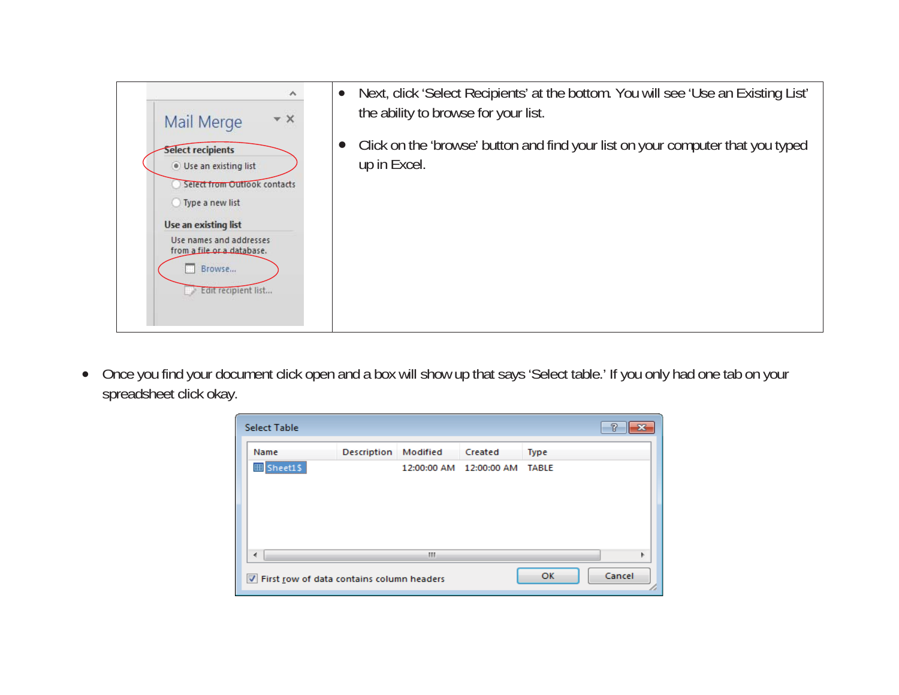

 $\bullet$  Once you find your document click open and a box will show up that says 'Select table.' If you only had one tab on your spreadsheet click okay.

| <b>Select Table</b>                                         |             |          |                         |              | 7 |  |
|-------------------------------------------------------------|-------------|----------|-------------------------|--------------|---|--|
| Name                                                        | Description | Modified | Created                 | Type         |   |  |
| <b>囲Sheet1\$</b>                                            |             |          | 12:00:00 AM 12:00:00 AM | <b>TABLE</b> |   |  |
|                                                             |             |          |                         |              |   |  |
|                                                             |             |          |                         |              |   |  |
| ∢                                                           |             | m        |                         |              |   |  |
| Cancel<br>OK<br>T First row of data contains column headers |             |          |                         |              |   |  |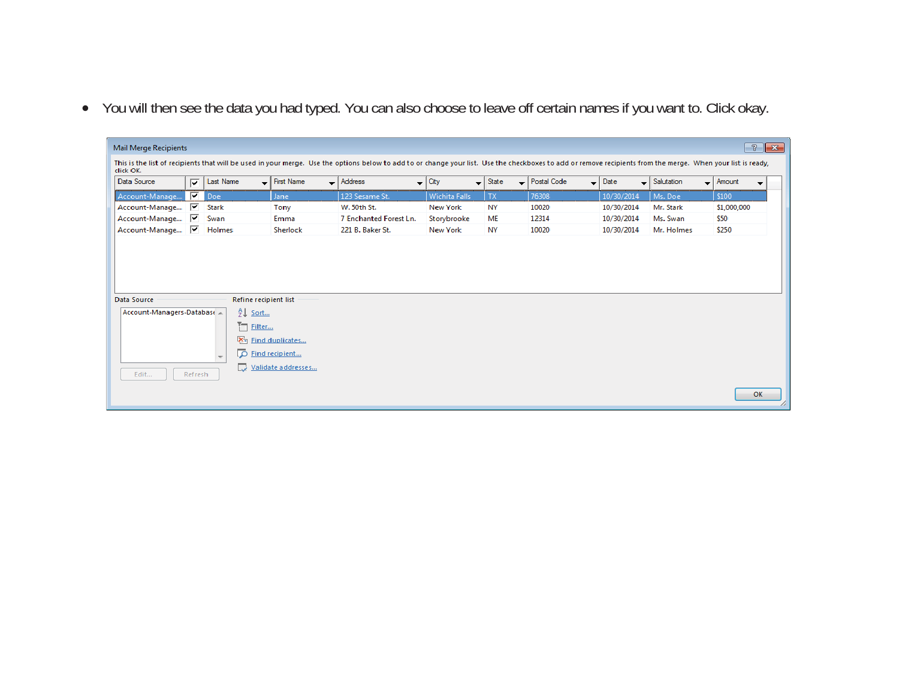• You will then see the data you had typed. You can also choose to leave off certain names if you want to. Click okay.

|                           |                         | $\sqrt{3}$<br>$-x$<br>Mail Merge Recipients |                                     |                                                                                                                                                                                                              |                 |                                                            |                                         |            |                                     |                                                             |
|---------------------------|-------------------------|---------------------------------------------|-------------------------------------|--------------------------------------------------------------------------------------------------------------------------------------------------------------------------------------------------------------|-----------------|------------------------------------------------------------|-----------------------------------------|------------|-------------------------------------|-------------------------------------------------------------|
| click OK.                 |                         |                                             |                                     | This is the list of recipients that will be used in your merge. Use the options below to add to or change your list. Use the checkboxes to add or remove recipients from the merge. When your list is ready, |                 |                                                            |                                         |            |                                     |                                                             |
| Data Source               | $\overline{\mathbf{v}}$ | Last Name                                   | $\overline{\phantom{a}}$ First Name | $\overline{\phantom{a}}$ Address<br>▼                                                                                                                                                                        | City            | $\overline{\phantom{a}}$ State<br>$\overline{\phantom{0}}$ | Postal Code<br>$\overline{\phantom{a}}$ | Date       | $\overline{\phantom{a}}$ Salutation | $\overline{\phantom{a}}$ Amount<br>$\overline{\phantom{0}}$ |
| Account-Manage            | ▽                       | Doe                                         | Jane                                | 123 Sesame St.                                                                                                                                                                                               | Wichita Falls   | <b>TX</b>                                                  | 76308                                   | 10/30/2014 | Ms. Doe                             | \$100                                                       |
| Account-Manage            | ⊽                       | <b>Stark</b>                                | Tony                                | W. 50th St.                                                                                                                                                                                                  | <b>New York</b> | <b>NY</b>                                                  | 10020                                   | 10/30/2014 | Mr. Stark                           | \$1,000,000                                                 |
| Account-Manage            | ☞                       | Swan                                        | Emma                                | 7 Enchanted Forest Ln.                                                                                                                                                                                       | Storybrooke     | <b>ME</b>                                                  | 12314                                   | 10/30/2014 | Ms. Swan                            | \$50                                                        |
| Account-Manage            | ⊽                       | Holmes                                      | Sherlock                            | 221 B. Baker St.                                                                                                                                                                                             | New York        | <b>NY</b>                                                  | 10020                                   | 10/30/2014 | Mr. Holmes                          | \$250                                                       |
|                           |                         |                                             |                                     |                                                                                                                                                                                                              |                 |                                                            |                                         |            |                                     |                                                             |
|                           |                         |                                             |                                     |                                                                                                                                                                                                              |                 |                                                            |                                         |            |                                     |                                                             |
|                           |                         | Refine recipient list                       |                                     |                                                                                                                                                                                                              |                 |                                                            |                                         |            |                                     |                                                             |
| Account-Managers-Database |                         | AJ.<br>Sort                                 |                                     |                                                                                                                                                                                                              |                 |                                                            |                                         |            |                                     |                                                             |
|                           |                         | $T_{\rm em}$<br>Filter                      |                                     |                                                                                                                                                                                                              |                 |                                                            |                                         |            |                                     |                                                             |
|                           |                         | ×.                                          | Find duplicates                     |                                                                                                                                                                                                              |                 |                                                            |                                         |            |                                     |                                                             |
|                           |                         | اھ<br>$\overline{\phantom{a}}$              | Find recipient                      |                                                                                                                                                                                                              |                 |                                                            |                                         |            |                                     |                                                             |
| Data Source<br>Edit       | Refresh                 |                                             | Validate addresses                  |                                                                                                                                                                                                              |                 |                                                            |                                         |            |                                     |                                                             |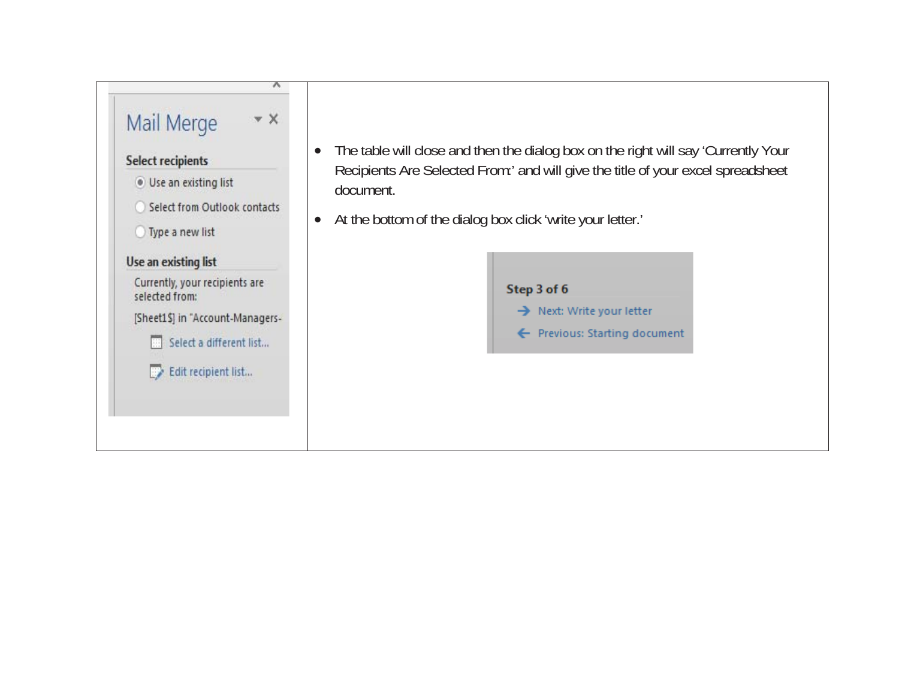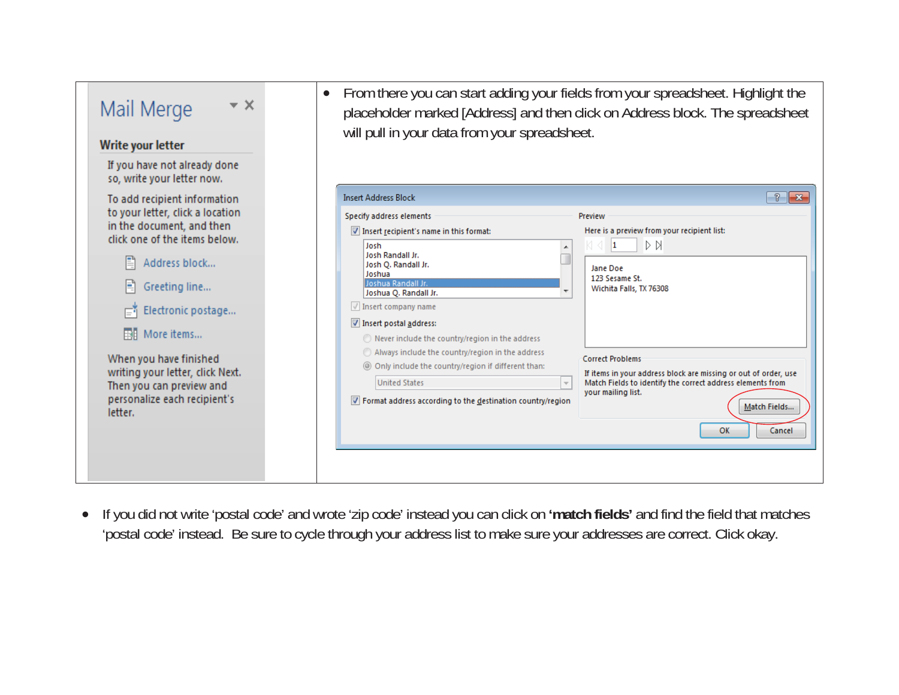| – ×<br>Mail Merge                                                                                                                                                                                                                                                                                                   | From there you can start adding your fields from your spreadsheet. Highlight the<br>$\bullet$<br>placeholder marked [Address] and then click on Address block. The spreadsheet<br>will pull in your data from your spreadsheet.                                                                                                                                                                                                                                                                                                                                                                                                                                                                                                                                                                                                      |
|---------------------------------------------------------------------------------------------------------------------------------------------------------------------------------------------------------------------------------------------------------------------------------------------------------------------|--------------------------------------------------------------------------------------------------------------------------------------------------------------------------------------------------------------------------------------------------------------------------------------------------------------------------------------------------------------------------------------------------------------------------------------------------------------------------------------------------------------------------------------------------------------------------------------------------------------------------------------------------------------------------------------------------------------------------------------------------------------------------------------------------------------------------------------|
| Write your letter                                                                                                                                                                                                                                                                                                   |                                                                                                                                                                                                                                                                                                                                                                                                                                                                                                                                                                                                                                                                                                                                                                                                                                      |
| If you have not already done<br>so, write your letter now.                                                                                                                                                                                                                                                          |                                                                                                                                                                                                                                                                                                                                                                                                                                                                                                                                                                                                                                                                                                                                                                                                                                      |
| To add recipient information                                                                                                                                                                                                                                                                                        | -?<br>$-x$<br><b>Insert Address Block</b>                                                                                                                                                                                                                                                                                                                                                                                                                                                                                                                                                                                                                                                                                                                                                                                            |
| to your letter, click a location<br>in the document, and then<br>click one of the items below.<br>Address block<br>Greeting line<br>Electronic postage<br><b>EH</b> More items<br>When you have finished<br>writing your letter, click Next.<br>Then you can preview and<br>personalize each recipient's<br>letter. | Specify address elements<br>Preview<br>Here is a preview from your recipient list:<br>Insert recipient's name in this format:<br>ÞИ<br>Josh<br>11<br>Josh Randall Jr.<br>Josh Q. Randall Jr.<br>Jane Doe<br>Joshua<br>123 Sesame St.<br>Joshua Randall Jr.<br>Wichita Falls, TX 76308<br>Joshua Q. Randall Jr.<br>$\sqrt{}$ Insert company name<br>Insert postal address:<br>Never include the country/region in the address<br>Always include the country/region in the address<br><b>Correct Problems</b><br>© Only include the country/region if different than:<br>If items in your address block are missing or out of order, use<br><b>United States</b><br>Match Fields to identify the correct address elements from<br>your mailing list.<br>The Format address according to the destination country/region<br>Match Fields |
|                                                                                                                                                                                                                                                                                                                     | OK<br>Cancel                                                                                                                                                                                                                                                                                                                                                                                                                                                                                                                                                                                                                                                                                                                                                                                                                         |

x If you did not write 'postal code' and wrote 'zip code' instead you can click on **'match fields'** and find the field that matches 'postal code' instead. Be sure to cycle through your address list to make sure your addresses are correct. Click okay.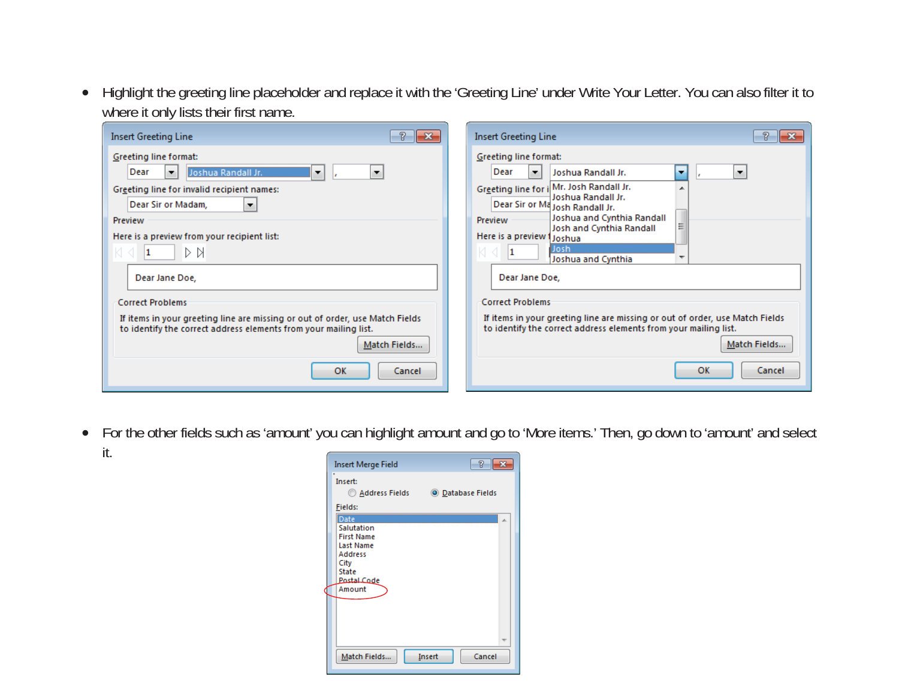• Highlight the greeting line placeholder and replace it with the 'Greeting Line' under Write Your Letter. You can also filter it to where it only lists their first name.

| Insert Greeting Line<br>-23                                                                                                                                                                                                                                                                                                                                                                                                                   | <b>Insert Greeting Line</b>                                                                                                                                                                                                                                                                                                                                                                                                                                                                                                                                       |
|-----------------------------------------------------------------------------------------------------------------------------------------------------------------------------------------------------------------------------------------------------------------------------------------------------------------------------------------------------------------------------------------------------------------------------------------------|-------------------------------------------------------------------------------------------------------------------------------------------------------------------------------------------------------------------------------------------------------------------------------------------------------------------------------------------------------------------------------------------------------------------------------------------------------------------------------------------------------------------------------------------------------------------|
| Greeting line format:<br>Dear<br>Joshua Randall Jr.<br>۰<br>▼<br>▼<br>Greeting line for invalid recipient names:<br>Dear Sir or Madam,<br>۰.<br>Preview<br>Here is a preview from your recipient list:<br>ÞИ<br>Dear Jane Doe,<br><b>Correct Problems</b><br>If items in your greeting line are missing or out of order, use Match Fields<br>to identify the correct address elements from your mailing list.<br>Match Fields<br>OK<br>Cancel | Greeting line format:<br>Dear<br>Joshua Randall Jr.<br>$\overline{\phantom{a}}$<br>▼<br>۰.<br>Greeting line for i Mr. Josh Randall Jr.<br>Joshua Randall Jr.<br>Dear Sir or Ma Josh Randall Jr.<br>Joshua and Cynthia Randall<br>Preview<br>Josh and Cynthia Randall<br>Here is a preview 1 Joshua<br>Josh<br>Joshua and Cynthia<br>Dear Jane Doe,<br><b>Correct Problems</b><br>If items in your greeting line are missing or out of order, use Match Fields<br>to identify the correct address elements from your mailing list.<br>Match Fields<br>OK<br>Cancel |

• For the other fields such as 'amount' you can highlight amount and go to 'More items.' Then, go down to 'amount' and select it.

| Insert Merge Field                                                                                                             | 7                 |
|--------------------------------------------------------------------------------------------------------------------------------|-------------------|
| Insert:<br>Address Fields                                                                                                      | O Database Fields |
| Fields:                                                                                                                        |                   |
| Date<br>Salutation<br><b>First Name</b><br><b>Last Name</b><br><b>Address</b><br>City<br><b>State</b><br>Postal Code<br>Amount |                   |
| Match Fields<br>Insert                                                                                                         | Cancel            |